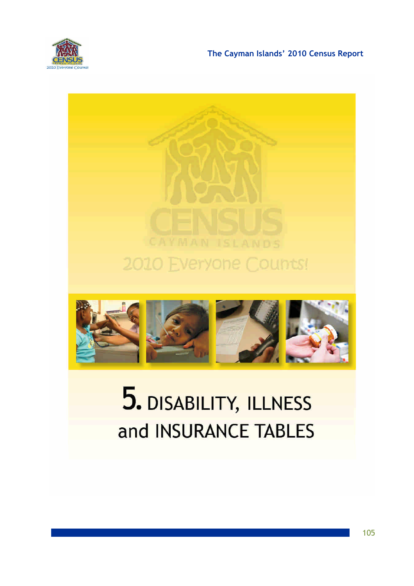

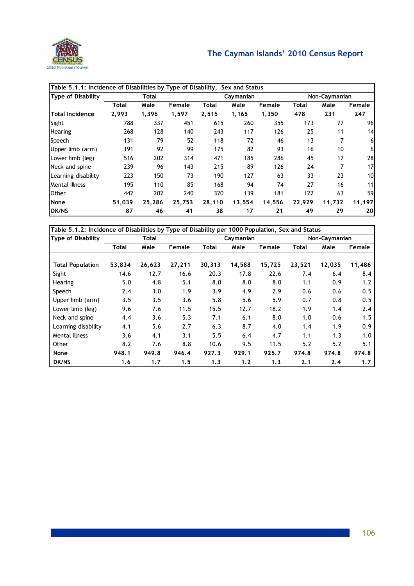

| Table 5.1.1: Incidence of Disabilities by Type of Disability, Sex and Status |        |              |        |              |           |        |        |               |                |  |
|------------------------------------------------------------------------------|--------|--------------|--------|--------------|-----------|--------|--------|---------------|----------------|--|
| Type of Disability                                                           |        | <b>Total</b> |        |              | Caymanian |        |        | Non-Caymanian |                |  |
|                                                                              | Total  | Male         | Female | <b>Total</b> | Male      | Female | Total  | Male          | Female         |  |
| <b>Total Incidence</b>                                                       | 2,993  | 1,396        | 1,597  | 2,515        | 1,165     | 1,350  | 478    | 231           | 247            |  |
| Sight                                                                        | 788    | 337          | 451    | 615          | 260       | 355    | 173    | 77            | 96             |  |
| <b>Hearing</b>                                                               | 268    | 128          | 140    | 243          | 117       | 126    | 25     | 11            | 14             |  |
| Speech                                                                       | 131    | 79           | 52     | 118          | 72        | 46     | 13     |               | 6 <sup>1</sup> |  |
| Upper limb (arm)                                                             | 191    | 92           | 99     | 175          | 82        | 93     | 16     | 10            | 6 <sup>1</sup> |  |
| Lower limb (leg)                                                             | 516    | 202          | 314    | 471          | 185       | 286    | 45     | 17            | 28             |  |
| Neck and spine                                                               | 239    | 96           | 143    | 215          | 89        | 126    | 24     |               | 17             |  |
| Learning disability                                                          | 223    | 150          | 73     | 190          | 127       | 63     | 33     | 23            | 10             |  |
| <b>Mental Illness</b>                                                        | 195    | 110          | 85     | 168          | 94        | 74     | 27     | 16            | 11             |  |
| <b>Other</b>                                                                 | 442    | 202          | 240    | 320          | 139       | 181    | 122    | 63            | 59             |  |
| None                                                                         | 51,039 | 25,286       | 25,753 | 28,110       | 13,554    | 14,556 | 22,929 | 11,732        | 11,197         |  |
| <b>DK/NS</b>                                                                 | 87     | 46           | 41     | 38           | 17        | 21     | 49     | 29            | <b>20</b>      |  |

| Table 5.1.2: Incidence of Disabilities by Type of Disability per 1000 Population, Sex and Status |        |        |        |        |           |        |        |               |        |  |
|--------------------------------------------------------------------------------------------------|--------|--------|--------|--------|-----------|--------|--------|---------------|--------|--|
| <b>Type of Disability</b>                                                                        |        | Total  |        |        | Caymanian |        |        | Non-Caymanian |        |  |
|                                                                                                  | Total  | Male   | Female | Total  | Male      | Female | Total  | Male          | Female |  |
|                                                                                                  |        |        |        |        |           |        |        |               |        |  |
| <b>Total Population</b>                                                                          | 53,834 | 26,623 | 27,211 | 30,313 | 14,588    | 15,725 | 23,521 | 12,035        | 11,486 |  |
| Sight                                                                                            | 14.6   | 12.7   | 16.6   | 20.3   | 17.8      | 22.6   | 7.4    | 6.4           | 8.4    |  |
| Hearing                                                                                          | 5.0    | 4.8    | 5.1    | 8.0    | 8.0       | 8.0    | 1.1    | 0.9           | 1.2    |  |
| Speech                                                                                           | 2.4    | 3.0    | 1.9    | 3.9    | 4.9       | 2.9    | 0.6    | 0.6           | 0.5    |  |
| Upper limb (arm)                                                                                 | 3.5    | 3.5    | 3.6    | 5.8    | 5.6       | 5.9    | 0.7    | 0.8           | 0.5    |  |
| Lower limb (leg)                                                                                 | 9.6    | 7.6    | 11.5   | 15.5   | 12.7      | 18.2   | 1.9    | 1.4           | 2.4    |  |
| Neck and spine                                                                                   | 4.4    | 3.6    | 5.3    | 7.1    | 6.1       | 8.0    | 1.0    | 0.6           | 1.5    |  |
| Learning disability                                                                              | 4.1    | 5.6    | 2.7    | 6.3    | 8.7       | 4.0    | 1.4    | 1.9           | 0.9    |  |
| <b>Mental Illness</b>                                                                            | 3.6    | 4.1    | 3.1    | 5.5    | 6.4       | 4.7    | 1.1    | 1.3           | 1.0    |  |
| Other                                                                                            | 8.2    | 7.6    | 8.8    | 10.6   | 9.5       | 11.5   | 5.2    | 5.2           | 5.1    |  |
| None                                                                                             | 948.1  | 949.8  | 946.4  | 927.3  | 929.1     | 925.7  | 974.8  | 974.8         | 974.8  |  |
| <b>DK/NS</b>                                                                                     | 1.6    | 1,7    | 1.5    | 1,3    | 1.2       | 1.3    | 2.1    | 2,4           | 1,7    |  |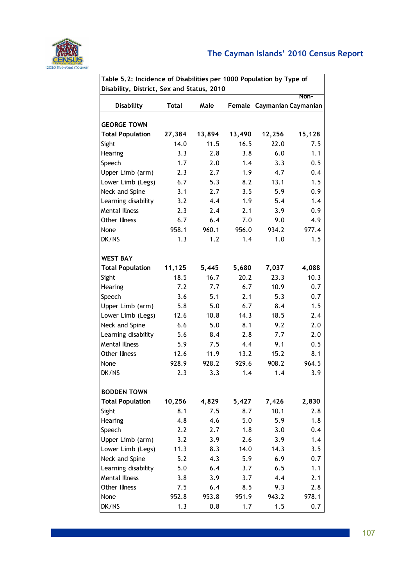

| Table 5.2: Incidence of Disabilities per 1000 Population by Type of |              |        |        |                            |        |  |  |  |  |
|---------------------------------------------------------------------|--------------|--------|--------|----------------------------|--------|--|--|--|--|
| Disability, District, Sex and Status, 2010                          |              |        |        |                            | Non-   |  |  |  |  |
| <b>Disability</b>                                                   | <b>Total</b> | Male   |        | Female Caymanian Caymanian |        |  |  |  |  |
|                                                                     |              |        |        |                            |        |  |  |  |  |
| <b>GEORGE TOWN</b>                                                  |              |        |        |                            |        |  |  |  |  |
| <b>Total Population</b>                                             | 27,384       | 13,894 | 13,490 | 12,256                     | 15,128 |  |  |  |  |
| Sight                                                               | 14.0         | 11.5   | 16.5   | 22.0                       | 7.5    |  |  |  |  |
| Hearing                                                             | 3.3          | 2.8    | 3.8    | 6.0                        | 1.1    |  |  |  |  |
| Speech                                                              | 1.7          | 2.0    | 1.4    | 3.3                        | 0.5    |  |  |  |  |
| Upper Limb (arm)                                                    | 2.3          | 2.7    | 1.9    | 4.7                        | 0.4    |  |  |  |  |
| Lower Limb (Legs)                                                   | 6.7          | 5.3    | 8.2    | 13.1                       | 1.5    |  |  |  |  |
| Neck and Spine                                                      | 3.1          | 2.7    | 3.5    | 5.9                        | 0.9    |  |  |  |  |
| Learning disability                                                 | 3.2          | 4.4    | 1.9    | 5.4                        | 1.4    |  |  |  |  |
| <b>Mental Illness</b>                                               | 2.3          | 2.4    | 2.1    | 3.9                        | 0.9    |  |  |  |  |
| <b>Other Illness</b>                                                | 6.7          | 6.4    | 7.0    | 9.0                        | 4.9    |  |  |  |  |
| None                                                                | 958.1        | 960.1  | 956.0  | 934.2                      | 977.4  |  |  |  |  |
| DK/NS                                                               | 1.3          | 1.2    | 1.4    | 1.0                        | 1.5    |  |  |  |  |
|                                                                     |              |        |        |                            |        |  |  |  |  |
| <b>WEST BAY</b>                                                     |              |        |        |                            |        |  |  |  |  |
| <b>Total Population</b>                                             | 11,125       | 5,445  | 5,680  | 7,037                      | 4,088  |  |  |  |  |
| Sight                                                               | 18.5         | 16.7   | 20.2   | 23.3                       | 10.3   |  |  |  |  |
| Hearing                                                             | 7.2          | 7.7    | 6.7    | 10.9                       | 0.7    |  |  |  |  |
| Speech                                                              | 3.6          | 5.1    | 2.1    | 5.3                        | 0.7    |  |  |  |  |
| Upper Limb (arm)                                                    | 5.8          | 5.0    | 6.7    | 8.4                        | 1.5    |  |  |  |  |
| Lower Limb (Legs)                                                   | 12.6         | 10.8   | 14.3   | 18.5                       | 2.4    |  |  |  |  |
| Neck and Spine                                                      | 6.6          | 5.0    | 8.1    | 9.2                        | 2.0    |  |  |  |  |
| Learning disability                                                 | 5.6          | 8.4    | 2.8    | 7.7                        | 2.0    |  |  |  |  |
| <b>Mental Illness</b>                                               | 5.9          | 7.5    | 4.4    | 9.1                        | 0.5    |  |  |  |  |
| Other Illness                                                       | 12.6         | 11.9   | 13.2   | 15.2                       | 8.1    |  |  |  |  |
| None                                                                | 928.9        | 928.2  | 929.6  | 908.2                      | 964.5  |  |  |  |  |
| DK/NS                                                               | 2.3          | 3.3    | 1.4    | 1.4                        | 3.9    |  |  |  |  |
|                                                                     |              |        |        |                            |        |  |  |  |  |
| <b>BODDEN TOWN</b>                                                  |              |        |        |                            |        |  |  |  |  |
| <b>Total Population</b>                                             | 10,256       | 4,829  | 5,427  | 7,426                      | 2,830  |  |  |  |  |
| Sight                                                               | 8.1          | 7.5    | 8.7    | 10.1                       | 2.8    |  |  |  |  |
| Hearing                                                             | 4.8          | 4.6    | 5.0    | 5.9                        | 1.8    |  |  |  |  |
| Speech                                                              | 2.2          | 2.7    | 1.8    | 3.0                        | 0.4    |  |  |  |  |
| Upper Limb (arm)                                                    | 3.2          | 3.9    | 2.6    | 3.9                        | 1.4    |  |  |  |  |
| Lower Limb (Legs)                                                   | 11.3         | 8.3    | 14.0   | 14.3                       | 3.5    |  |  |  |  |
| Neck and Spine                                                      | 5.2          | 4.3    | 5.9    | 6.9                        | 0.7    |  |  |  |  |
| Learning disability                                                 | 5.0          | 6.4    | 3.7    | 6.5                        | 1.1    |  |  |  |  |
| <b>Mental Illness</b>                                               | 3.8          | 3.9    | 3.7    | 4.4                        | 2.1    |  |  |  |  |
| Other Illness                                                       | 7.5          | 6.4    | 8.5    | 9.3                        | 2.8    |  |  |  |  |
| None                                                                | 952.8        | 953.8  | 951.9  | 943.2                      | 978.1  |  |  |  |  |
| DK/NS                                                               | 1.3          | 0.8    | 1.7    | 1.5                        | 0.7    |  |  |  |  |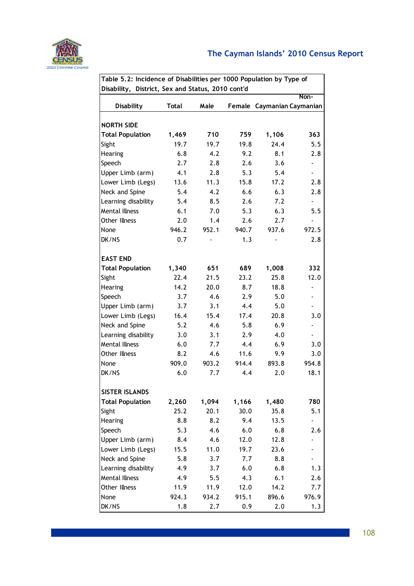

| Table 5.2: Incidence of Disabilities per 1000 Population by Type of |              |       |        |       |                          |  |  |  |  |
|---------------------------------------------------------------------|--------------|-------|--------|-------|--------------------------|--|--|--|--|
| Disability, District, Sex and Status, 2010 cont'd                   |              |       |        |       |                          |  |  |  |  |
|                                                                     |              |       |        |       | Non-                     |  |  |  |  |
| <b>Disability</b>                                                   | <b>Total</b> | Male  | Female |       | Caymanian Caymanian      |  |  |  |  |
|                                                                     |              |       |        |       |                          |  |  |  |  |
| <b>NORTH SIDE</b>                                                   |              |       |        |       |                          |  |  |  |  |
| <b>Total Population</b>                                             | 1,469        | 710   | 759    | 1,106 | 363                      |  |  |  |  |
| Sight                                                               | 19.7         | 19.7  | 19.8   | 24.4  | 5.5                      |  |  |  |  |
| Hearing                                                             | 6.8          | 4.2   | 9.2    | 8.1   | 2.8                      |  |  |  |  |
| Speech                                                              | 2.7          | 2.8   | 2.6    | 3.6   | $\overline{\phantom{a}}$ |  |  |  |  |
| Upper Limb (arm)                                                    | 4.1          | 2.8   | 5.3    | 5.4   | $\overline{\phantom{a}}$ |  |  |  |  |
| Lower Limb (Legs)                                                   | 13.6         | 11.3  | 15.8   | 17.2  | 2.8                      |  |  |  |  |
| Neck and Spine                                                      | 5.4          | 4.2   | 6.6    | 6.3   | 2.8                      |  |  |  |  |
| Learning disability                                                 | 5.4          | 8.5   | 2.6    | 7.2   | $\blacksquare$           |  |  |  |  |
| <b>Mental Illness</b>                                               | 6.1          | 7.0   | 5.3    | 6.3   | 5.5                      |  |  |  |  |
| Other Illness                                                       | 2.0          | 1.4   | 2.6    | 2.7   | $\blacksquare$           |  |  |  |  |
| None                                                                | 946.2        | 952.1 | 940.7  | 937.6 | 972.5                    |  |  |  |  |
| DK/NS                                                               | 0.7          |       | 1.3    |       | 2.8                      |  |  |  |  |
| <b>EAST END</b>                                                     |              |       |        |       |                          |  |  |  |  |
| <b>Total Population</b>                                             | 1,340        | 651   | 689    | 1,008 | 332                      |  |  |  |  |
| Sight                                                               | 22.4         | 21.5  | 23.2   | 25.8  | 12.0                     |  |  |  |  |
| Hearing                                                             | 14.2         | 20.0  | 8.7    | 18.8  | $\overline{\phantom{a}}$ |  |  |  |  |
| Speech                                                              | 3.7          | 4.6   | 2.9    | 5.0   | $\overline{\phantom{a}}$ |  |  |  |  |
| Upper Limb (arm)                                                    | 3.7          | 3.1   | 4.4    | 5.0   | $\overline{\phantom{a}}$ |  |  |  |  |
| Lower Limb (Legs)                                                   | 16.4         | 15.4  | 17.4   | 20.8  | 3.0                      |  |  |  |  |
| Neck and Spine                                                      | 5.2          | 4.6   | 5.8    | 6.9   | $\overline{a}$           |  |  |  |  |
| Learning disability                                                 | 3.0          | 3.1   | 2.9    | 4.0   | $\overline{\phantom{a}}$ |  |  |  |  |
| <b>Mental Illness</b>                                               | 6.0          | 7.7   | 4.4    | 6.9   | 3.0                      |  |  |  |  |
| Other Illness                                                       | 8.2          | 4.6   | 11.6   | 9.9   | 3.0                      |  |  |  |  |
| None                                                                | 909.0        | 903.2 | 914.4  | 893.8 | 954.8                    |  |  |  |  |
| DK/NS                                                               | 6.0          | 7.7   | 4.4    | 2.0   | 18.1                     |  |  |  |  |
|                                                                     |              |       |        |       |                          |  |  |  |  |
| <b>SISTER ISLANDS</b>                                               |              |       |        |       |                          |  |  |  |  |
| <b>Total Population</b>                                             | 2,260        | 1,094 | 1,166  | 1,480 | 780                      |  |  |  |  |
| Sight                                                               | 25.2         | 20.1  | 30.0   | 35.8  | 5.1                      |  |  |  |  |
| Hearing                                                             | 8.8          | 8.2   | 9.4    | 13.5  |                          |  |  |  |  |
| Speech                                                              | 5.3          | 4.6   | 6.0    | 6.8   | 2.6                      |  |  |  |  |
| Upper Limb (arm)                                                    | 8.4          | 4.6   | 12.0   | 12.8  |                          |  |  |  |  |
| Lower Limb (Legs)                                                   | 15.5         | 11.0  | 19.7   | 23.6  |                          |  |  |  |  |
| Neck and Spine                                                      | 5.8          | 3.7   | 7.7    | 8.8   |                          |  |  |  |  |
| Learning disability                                                 | 4.9          | 3.7   | 6.0    | 6.8   | 1.3                      |  |  |  |  |
| <b>Mental Illness</b>                                               | 4.9          | 5.5   | 4.3    | 6.1   | 2.6                      |  |  |  |  |
| Other Illness                                                       | 11.9         | 11.9  | 12.0   | 14.2  | 7.7                      |  |  |  |  |
| None                                                                | 924.3        | 934.2 | 915.1  | 896.6 | 976.9                    |  |  |  |  |
| DK/NS                                                               | 1.8          | 2.7   | 0.9    | 2.0   | 1.3                      |  |  |  |  |

108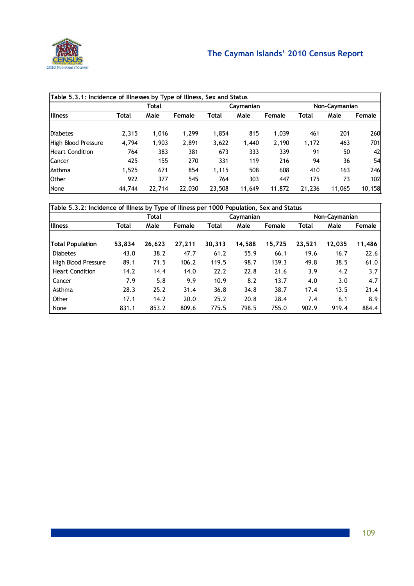

|                        | Table 5.3.1: Incidence of Illnesses by Type of Illness, Sex and Status |        |        |        |           |        |        |               |        |  |
|------------------------|------------------------------------------------------------------------|--------|--------|--------|-----------|--------|--------|---------------|--------|--|
|                        |                                                                        | Total  |        |        | Caymanian |        |        | Non-Caymanian |        |  |
| <b>Illness</b>         | Total                                                                  | Male   | Female | Total  | Male      | Female | Total  | Male          | Female |  |
|                        |                                                                        |        |        |        |           |        |        |               |        |  |
| Diabetes               | 2,315                                                                  | 1,016  | 1,299  | 1,854  | 815       | 1,039  | 461    | 201           | 260    |  |
| High Blood Pressure    | 4,794                                                                  | 1,903  | 2,891  | 3,622  | 1,440     | 2,190  | 1,172  | 463           | 701    |  |
| <b>Heart Condition</b> | 764                                                                    | 383    | 381    | 673    | 333       | 339    | 91     | 50            | 42     |  |
| Cancer                 | 425                                                                    | 155    | 270    | 331    | 119       | 216    | 94     | 36            | 54     |  |
| Asthma                 | 1,525                                                                  | 671    | 854    | 1,115  | 508       | 608    | 410    | 163           | 246    |  |
| <b>Other</b>           | 922                                                                    | 377    | 545    | 764    | 303       | 447    | 175    | 73            | 102    |  |
| None                   | 44,744                                                                 | 22,714 | 22,030 | 23,508 | 11,649    | 11,872 | 21,236 | 11,065        | 10,158 |  |

|                         | Table 5.3.2: Incidence of Illness by Type of Illness per 1000 Population, Sex and Status |        |        |        |           |        |              |               |        |  |
|-------------------------|------------------------------------------------------------------------------------------|--------|--------|--------|-----------|--------|--------------|---------------|--------|--|
|                         |                                                                                          | Total  |        |        | Caymanian |        |              | Non-Caymanian |        |  |
| <b>Illness</b>          | Total                                                                                    | Male   | Female | Total  | Male      | Female | <b>Total</b> | Male          | Female |  |
|                         |                                                                                          |        |        |        |           |        |              |               |        |  |
| <b>Total Population</b> | 53,834                                                                                   | 26,623 | 27,211 | 30,313 | 14,588    | 15,725 | 23,521       | 12,035        | 11,486 |  |
| <b>Diabetes</b>         | 43.0                                                                                     | 38.2   | 47.7   | 61.2   | 55.9      | 66.1   | 19.6         | 16.7          | 22.6   |  |
| High Blood Pressure     | 89.1                                                                                     | 71.5   | 106.2  | 119.5  | 98.7      | 139.3  | 49.8         | 38.5          | 61.0   |  |
| <b>Heart Condition</b>  | 14.2                                                                                     | 14.4   | 14.0   | 22.2   | 22.8      | 21.6   | 3.9          | 4.2           | 3.7    |  |
| Cancer                  | 7.9                                                                                      | 5.8    | 9.9    | 10.9   | 8.2       | 13.7   | 4.0          | 3.0           | 4.7    |  |
| Asthma                  | 28.3                                                                                     | 25.2   | 31.4   | 36.8   | 34.8      | 38.7   | 17.4         | 13.5          | 21.4   |  |
| Other                   | 17.1                                                                                     | 14.2   | 20.0   | 25.2   | 20.8      | 28.4   | 7.4          | 6.1           | 8.9    |  |
| None                    | 831.1                                                                                    | 853.2  | 809.6  | 775.5  | 798.5     | 755.0  | 902.9        | 919.4         | 884.4  |  |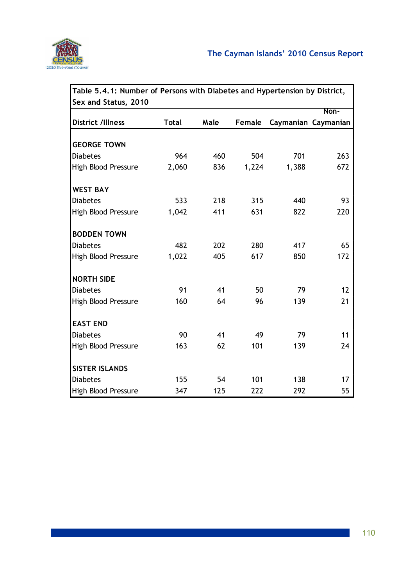

|                          | Table 5.4.1: Number of Persons with Diabetes and Hypertension by District, |      |        |       |                     |  |  |  |  |
|--------------------------|----------------------------------------------------------------------------|------|--------|-------|---------------------|--|--|--|--|
| Sex and Status, 2010     |                                                                            |      |        |       |                     |  |  |  |  |
|                          |                                                                            |      |        |       | Non-                |  |  |  |  |
| <b>District /Illness</b> | <b>Total</b>                                                               | Male | Female |       | Caymanian Caymanian |  |  |  |  |
|                          |                                                                            |      |        |       |                     |  |  |  |  |
| <b>GEORGE TOWN</b>       |                                                                            |      |        |       |                     |  |  |  |  |
| <b>Diabetes</b>          | 964                                                                        | 460  | 504    | 701   | 263                 |  |  |  |  |
| High Blood Pressure      | 2,060                                                                      | 836  | 1,224  | 1,388 | 672                 |  |  |  |  |
| <b>WEST BAY</b>          |                                                                            |      |        |       |                     |  |  |  |  |
| <b>Diabetes</b>          | 533                                                                        | 218  | 315    | 440   | 93                  |  |  |  |  |
| High Blood Pressure      | 1,042                                                                      | 411  | 631    | 822   | 220                 |  |  |  |  |
| <b>BODDEN TOWN</b>       |                                                                            |      |        |       |                     |  |  |  |  |
| <b>Diabetes</b>          | 482                                                                        | 202  | 280    | 417   | 65                  |  |  |  |  |
| High Blood Pressure      | 1,022                                                                      | 405  | 617    | 850   | 172                 |  |  |  |  |
| <b>NORTH SIDE</b>        |                                                                            |      |        |       |                     |  |  |  |  |
| <b>Diabetes</b>          | 91                                                                         | 41   | 50     | 79    | 12                  |  |  |  |  |
| High Blood Pressure      | 160                                                                        | 64   | 96     | 139   | 21                  |  |  |  |  |
| <b>EAST END</b>          |                                                                            |      |        |       |                     |  |  |  |  |
| <b>Diabetes</b>          | 90                                                                         | 41   | 49     | 79    | 11                  |  |  |  |  |
| High Blood Pressure      | 163                                                                        | 62   | 101    | 139   | 24                  |  |  |  |  |
| <b>SISTER ISLANDS</b>    |                                                                            |      |        |       |                     |  |  |  |  |
| <b>Diabetes</b>          | 155                                                                        | 54   | 101    | 138   | 17                  |  |  |  |  |
| High Blood Pressure      | 347                                                                        | 125  | 222    | 292   | 55                  |  |  |  |  |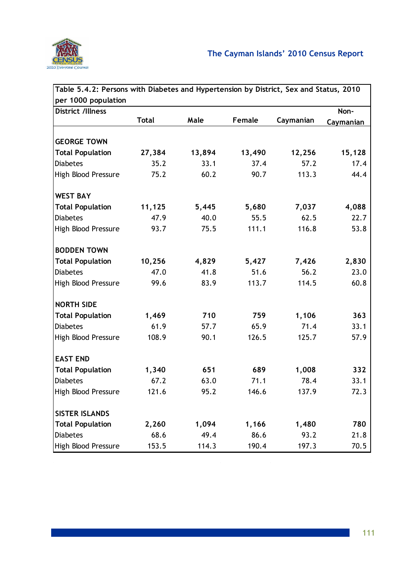

| Table 5.4.2: Persons with Diabetes and Hypertension by District, Sex and Status, 2010 |              |        |        |           |           |
|---------------------------------------------------------------------------------------|--------------|--------|--------|-----------|-----------|
| per 1000 population                                                                   |              |        |        |           |           |
| <b>District /Illness</b>                                                              |              |        |        |           | Non-      |
|                                                                                       | <b>Total</b> | Male   | Female | Caymanian | Caymanian |
|                                                                                       |              |        |        |           |           |
| <b>GEORGE TOWN</b>                                                                    |              |        |        |           |           |
| <b>Total Population</b>                                                               | 27,384       | 13,894 | 13,490 | 12,256    | 15,128    |
| <b>Diabetes</b>                                                                       | 35.2         | 33.1   | 37.4   | 57.2      | 17.4      |
| High Blood Pressure                                                                   | 75.2         | 60.2   | 90.7   | 113.3     | 44.4      |
| <b>WEST BAY</b>                                                                       |              |        |        |           |           |
| <b>Total Population</b>                                                               | 11,125       | 5,445  | 5,680  | 7,037     | 4,088     |
| <b>Diabetes</b>                                                                       | 47.9         | 40.0   | 55.5   | 62.5      | 22.7      |
| High Blood Pressure                                                                   | 93.7         | 75.5   | 111.1  | 116.8     | 53.8      |
| <b>BODDEN TOWN</b>                                                                    |              |        |        |           |           |
| <b>Total Population</b>                                                               | 10,256       | 4,829  | 5,427  | 7,426     | 2,830     |
| <b>Diabetes</b>                                                                       | 47.0         | 41.8   | 51.6   | 56.2      | 23.0      |
| High Blood Pressure                                                                   | 99.6         | 83.9   | 113.7  | 114.5     | 60.8      |
| <b>NORTH SIDE</b>                                                                     |              |        |        |           |           |
| <b>Total Population</b>                                                               | 1,469        | 710    | 759    | 1,106     | 363       |
| <b>Diabetes</b>                                                                       | 61.9         | 57.7   | 65.9   | 71.4      | 33.1      |
| High Blood Pressure                                                                   | 108.9        | 90.1   | 126.5  | 125.7     | 57.9      |
| <b>EAST END</b>                                                                       |              |        |        |           |           |
| <b>Total Population</b>                                                               | 1,340        | 651    | 689    | 1,008     | 332       |
| <b>Diabetes</b>                                                                       | 67.2         | 63.0   | 71.1   | 78.4      | 33.1      |
| High Blood Pressure                                                                   | 121.6        | 95.2   | 146.6  | 137.9     | 72.3      |
| <b>SISTER ISLANDS</b>                                                                 |              |        |        |           |           |
| <b>Total Population</b>                                                               | 2,260        | 1,094  | 1,166  | 1,480     | 780       |
| <b>Diabetes</b>                                                                       | 68.6         | 49.4   | 86.6   | 93.2      | 21.8      |
| High Blood Pressure                                                                   | 153.5        | 114.3  | 190.4  | 197.3     | 70.5      |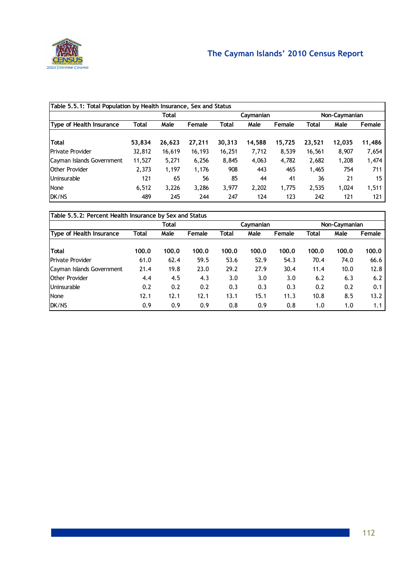

|                                     | Table 5.5.1: Total Population by Health Insurance, Sex and Status |        |        |        |        |        |        |        |        |  |
|-------------------------------------|-------------------------------------------------------------------|--------|--------|--------|--------|--------|--------|--------|--------|--|
| Total<br>Non-Caymanian<br>Caymanian |                                                                   |        |        |        |        |        |        |        |        |  |
| Type of Health Insurance            | <b>Total</b>                                                      | Male   | Female | Total  | Male   | Female | Total  | Male   | Female |  |
|                                     |                                                                   |        |        |        |        |        |        |        |        |  |
| Total                               | 53,834                                                            | 26,623 | 27,211 | 30,313 | 14,588 | 15,725 | 23,521 | 12,035 | 11,486 |  |
| <b>Private Provider</b>             | 32,812                                                            | 16,619 | 16,193 | 16,251 | 7,712  | 8,539  | 16,561 | 8,907  | 7,654  |  |
| Cayman Islands Government           | 11,527                                                            | 5,271  | 6,256  | 8,845  | 4,063  | 4,782  | 2,682  | 1,208  | 1,474  |  |
| <b>Other Provider</b>               | 2,373                                                             | 1,197  | 1,176  | 908    | 443    | 465    | 1,465  | 754    | 711    |  |
| Uninsurable                         | 121                                                               | 65     | 56     | 85     | 44     | 41     | 36     | 21     | 15     |  |
| None                                | 6,512                                                             | 3,226  | 3,286  | 3,977  | 2,202  | 1,775  | 2,535  | 1,024  | 1,511  |  |
| DK/NS                               | 489                                                               | 245    | 244    | 247    | 124    | 123    | 242    | 121    | 121    |  |

|                           | Table 5.5.2: Percent Health Insurance by Sex and Status |       |        |              |           |        |       |               |        |  |
|---------------------------|---------------------------------------------------------|-------|--------|--------------|-----------|--------|-------|---------------|--------|--|
|                           |                                                         | Total |        |              | Caymanian |        |       | Non-Caymanian |        |  |
| Type of Health Insurance  | <b>Total</b>                                            | Male  | Female | <b>Total</b> | Male      | Female | Total | Male          | Female |  |
| <b>Total</b>              | 100.0                                                   | 100.0 | 100.0  | 100.0        | 100.0     | 100.0  | 100.0 | 100.0         | 100.0  |  |
| <b>Private Provider</b>   | 61.0                                                    | 62.4  | 59.5   | 53.6         | 52.9      | 54.3   | 70.4  | 74.0          | 66.6   |  |
| Cayman Islands Government | 21.4                                                    | 19.8  | 23.0   | 29.2         | 27.9      | 30.4   | 11.4  | 10.0          | 12.8   |  |
| <b>Other Provider</b>     | 4.4                                                     | 4.5   | 4.3    | 3.0          | 3.0       | 3.0    | 6.2   | 6.3           | 6.2    |  |
| Uninsurable               | 0.2                                                     | 0.2   | 0.2    | 0.3          | 0.3       | 0.3    | 0.2   | 0.2           | 0.1    |  |
| None                      | 12.1                                                    | 12.1  | 12.1   | 13.1         | 15.1      | 11.3   | 10.8  | 8.5           | 13.2   |  |
| DK/NS                     | 0.9                                                     | 0.9   | 0.9    | 0.8          | 0.9       | 0.8    | 1.0   | 1.0           | 1.1    |  |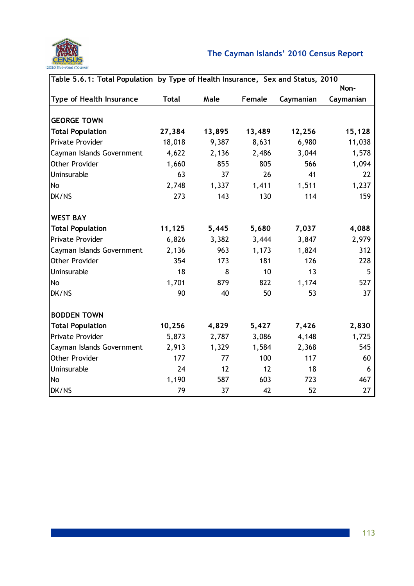

| Table 5.6.1: Total Population by Type of Health Insurance, Sex and Status, 2010 |              |        |        |           |           |  |  |  |
|---------------------------------------------------------------------------------|--------------|--------|--------|-----------|-----------|--|--|--|
|                                                                                 |              |        |        |           | Non-      |  |  |  |
| <b>Type of Health Insurance</b>                                                 | <b>Total</b> | Male   | Female | Caymanian | Caymanian |  |  |  |
|                                                                                 |              |        |        |           |           |  |  |  |
| <b>GEORGE TOWN</b>                                                              |              |        |        |           |           |  |  |  |
| <b>Total Population</b>                                                         | 27,384       | 13,895 | 13,489 | 12,256    | 15,128    |  |  |  |
| Private Provider                                                                | 18,018       | 9,387  | 8,631  | 6,980     | 11,038    |  |  |  |
| Cayman Islands Government                                                       | 4,622        | 2,136  | 2,486  | 3,044     | 1,578     |  |  |  |
| <b>Other Provider</b>                                                           | 1,660        | 855    | 805    | 566       | 1,094     |  |  |  |
| Uninsurable                                                                     | 63           | 37     | 26     | 41        | 22        |  |  |  |
| No                                                                              | 2,748        | 1,337  | 1,411  | 1,511     | 1,237     |  |  |  |
| DK/NS                                                                           | 273          | 143    | 130    | 114       | 159       |  |  |  |
| <b>WEST BAY</b>                                                                 |              |        |        |           |           |  |  |  |
| <b>Total Population</b>                                                         | 11,125       | 5,445  | 5,680  | 7,037     | 4,088     |  |  |  |
| Private Provider                                                                | 6,826        | 3,382  | 3,444  | 3,847     | 2,979     |  |  |  |
| Cayman Islands Government                                                       | 2,136        | 963    | 1,173  | 1,824     | 312       |  |  |  |
| Other Provider                                                                  | 354          | 173    | 181    | 126       | 228       |  |  |  |
| Uninsurable                                                                     | 18           | 8      | 10     | 13        | 5         |  |  |  |
| No                                                                              | 1,701        | 879    | 822    | 1,174     | 527       |  |  |  |
| DK/NS                                                                           | 90           | 40     | 50     | 53        | 37        |  |  |  |
| <b>BODDEN TOWN</b>                                                              |              |        |        |           |           |  |  |  |
| <b>Total Population</b>                                                         | 10,256       | 4,829  | 5,427  | 7,426     | 2,830     |  |  |  |
| Private Provider                                                                | 5,873        | 2,787  | 3,086  | 4,148     | 1,725     |  |  |  |
| Cayman Islands Government                                                       | 2,913        | 1,329  | 1,584  | 2,368     | 545       |  |  |  |
| Other Provider                                                                  | 177          | 77     | 100    | 117       | 60        |  |  |  |
| Uninsurable                                                                     | 24           | 12     | 12     | 18        | 6         |  |  |  |
| No                                                                              | 1,190        | 587    | 603    | 723       | 467       |  |  |  |
| DK/NS                                                                           | 79           | 37     | 42     | 52        | 27        |  |  |  |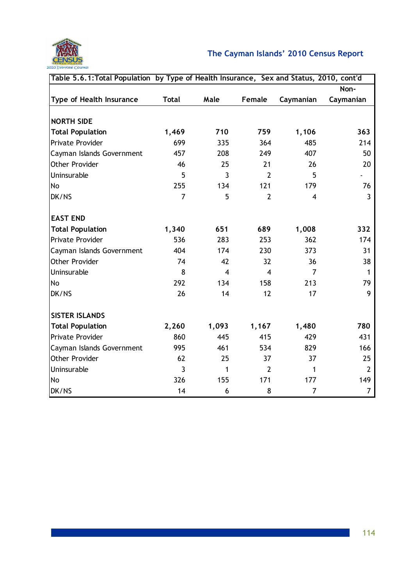

| Table 5.6.1: Total Population by Type of Health Insurance, Sex and Status, 2010, cont'd |                |                |                         |                |                |
|-----------------------------------------------------------------------------------------|----------------|----------------|-------------------------|----------------|----------------|
|                                                                                         |                |                |                         |                | Non-           |
| Type of Health Insurance                                                                | <b>Total</b>   | Male           | <b>Female</b>           | Caymanian      | Caymanian      |
|                                                                                         |                |                |                         |                |                |
| <b>NORTH SIDE</b>                                                                       |                |                |                         |                |                |
| <b>Total Population</b>                                                                 | 1,469          | 710            | 759                     | 1,106          | 363            |
| <b>Private Provider</b>                                                                 | 699            | 335            | 364                     | 485            | 214            |
| Cayman Islands Government                                                               | 457            | 208            | 249                     | 407            | 50             |
| <b>Other Provider</b>                                                                   | 46             | 25             | 21                      | 26             | 20             |
| Uninsurable                                                                             | 5              | $\overline{3}$ | $\overline{2}$          | 5              |                |
| No                                                                                      | 255            | 134            | 121                     | 179            | 76             |
| DK/NS                                                                                   | $\overline{7}$ | 5              | $\overline{2}$          | $\overline{4}$ | 3              |
| <b>EAST END</b>                                                                         |                |                |                         |                |                |
| <b>Total Population</b>                                                                 | 1,340          | 651            | 689                     | 1,008          | 332            |
| Private Provider                                                                        | 536            | 283            | 253                     | 362            | 174            |
| Cayman Islands Government                                                               | 404            | 174            | 230                     | 373            | 31             |
| Other Provider                                                                          | 74             | 42             | 32                      | 36             | 38             |
| Uninsurable                                                                             | 8              | $\overline{4}$ | $\overline{\mathbf{4}}$ | $\overline{7}$ | 1              |
| No                                                                                      | 292            | 134            | 158                     | 213            | 79             |
| DK/NS                                                                                   | 26             | 14             | 12                      | 17             | 9              |
|                                                                                         |                |                |                         |                |                |
| <b>SISTER ISLANDS</b>                                                                   |                |                |                         |                |                |
| <b>Total Population</b>                                                                 | 2,260          | 1,093          | 1,167                   | 1,480          | 780            |
| Private Provider                                                                        | 860            | 445            | 415                     | 429            | 431            |
| Cayman Islands Government                                                               | 995            | 461            | 534                     | 829            | 166            |
| Other Provider                                                                          | 62             | 25             | 37                      | 37             | 25             |
| Uninsurable                                                                             | 3              | 1              | $\overline{2}$          | 1              | $\overline{2}$ |
| No                                                                                      | 326            | 155            | 171                     | 177            | 149            |
| DK/NS                                                                                   | 14             | 6              | 8                       | $\overline{7}$ | $\overline{7}$ |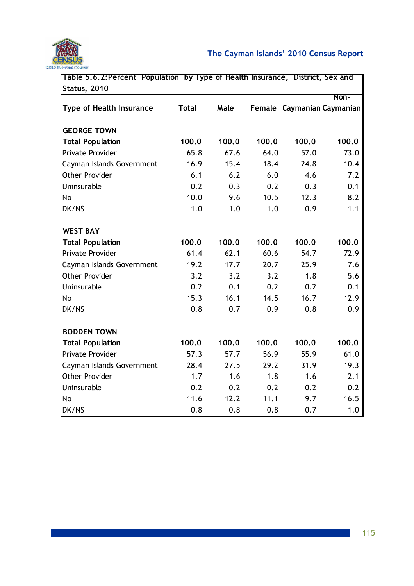

|       |                                                                                                                          |                                                                                                                 |                                                                                                                         | Non-                                                                                                                                                                                                                    |
|-------|--------------------------------------------------------------------------------------------------------------------------|-----------------------------------------------------------------------------------------------------------------|-------------------------------------------------------------------------------------------------------------------------|-------------------------------------------------------------------------------------------------------------------------------------------------------------------------------------------------------------------------|
|       |                                                                                                                          |                                                                                                                 |                                                                                                                         |                                                                                                                                                                                                                         |
|       |                                                                                                                          |                                                                                                                 |                                                                                                                         |                                                                                                                                                                                                                         |
|       |                                                                                                                          |                                                                                                                 |                                                                                                                         | 100.0                                                                                                                                                                                                                   |
|       |                                                                                                                          |                                                                                                                 |                                                                                                                         | 73.0                                                                                                                                                                                                                    |
|       |                                                                                                                          |                                                                                                                 |                                                                                                                         |                                                                                                                                                                                                                         |
|       |                                                                                                                          |                                                                                                                 |                                                                                                                         | 10.4                                                                                                                                                                                                                    |
|       |                                                                                                                          |                                                                                                                 |                                                                                                                         | 7.2                                                                                                                                                                                                                     |
|       |                                                                                                                          |                                                                                                                 |                                                                                                                         | 0.1                                                                                                                                                                                                                     |
|       |                                                                                                                          |                                                                                                                 |                                                                                                                         | 8.2                                                                                                                                                                                                                     |
|       |                                                                                                                          |                                                                                                                 |                                                                                                                         | 1.1                                                                                                                                                                                                                     |
|       |                                                                                                                          |                                                                                                                 |                                                                                                                         |                                                                                                                                                                                                                         |
| 100.0 | 100.0                                                                                                                    | 100.0                                                                                                           | 100.0                                                                                                                   | 100.0                                                                                                                                                                                                                   |
| 61.4  | 62.1                                                                                                                     | 60.6                                                                                                            | 54.7                                                                                                                    | 72.9                                                                                                                                                                                                                    |
| 19.2  | 17.7                                                                                                                     |                                                                                                                 | 25.9                                                                                                                    | 7.6                                                                                                                                                                                                                     |
| 3.2   | 3.2                                                                                                                      |                                                                                                                 | 1.8                                                                                                                     | 5.6                                                                                                                                                                                                                     |
| 0.2   | 0.1                                                                                                                      | 0.2                                                                                                             | 0.2                                                                                                                     | 0.1                                                                                                                                                                                                                     |
| 15.3  | 16.1                                                                                                                     | 14.5                                                                                                            | 16.7                                                                                                                    | 12.9                                                                                                                                                                                                                    |
| 0.8   | 0.7                                                                                                                      | 0.9                                                                                                             | 0.8                                                                                                                     | 0.9                                                                                                                                                                                                                     |
|       |                                                                                                                          |                                                                                                                 |                                                                                                                         |                                                                                                                                                                                                                         |
|       |                                                                                                                          |                                                                                                                 |                                                                                                                         | 100.0                                                                                                                                                                                                                   |
|       |                                                                                                                          |                                                                                                                 |                                                                                                                         | 61.0                                                                                                                                                                                                                    |
|       |                                                                                                                          |                                                                                                                 |                                                                                                                         | 19.3                                                                                                                                                                                                                    |
|       |                                                                                                                          |                                                                                                                 |                                                                                                                         | 2.1                                                                                                                                                                                                                     |
|       |                                                                                                                          |                                                                                                                 |                                                                                                                         | 0.2                                                                                                                                                                                                                     |
|       |                                                                                                                          |                                                                                                                 |                                                                                                                         | 16.5                                                                                                                                                                                                                    |
|       |                                                                                                                          |                                                                                                                 |                                                                                                                         | 1.0                                                                                                                                                                                                                     |
|       | <b>Total</b><br>100.0<br>65.8<br>16.9<br>6.1<br>0.2<br>10.0<br>1.0<br>100.0<br>57.3<br>28.4<br>1.7<br>0.2<br>11.6<br>0.8 | Male<br>100.0<br>67.6<br>15.4<br>6.2<br>0.3<br>9.6<br>1.0<br>100.0<br>57.7<br>27.5<br>1.6<br>0.2<br>12.2<br>0.8 | 100.0<br>64.0<br>18.4<br>6.0<br>0.2<br>10.5<br>1.0<br>20.7<br>3.2<br>100.0<br>56.9<br>29.2<br>1.8<br>0.2<br>11.1<br>0.8 | Table 5.6.2: Percent Population by Type of Health Insurance, District, Sex and<br>Female Caymanian Caymanian<br>100.0<br>57.0<br>24.8<br>4.6<br>0.3<br>12.3<br>0.9<br>100.0<br>55.9<br>31.9<br>1.6<br>0.2<br>9.7<br>0.7 |